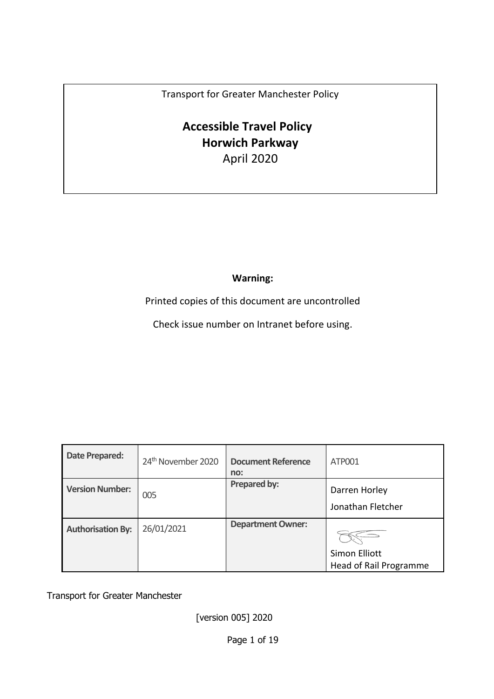Transport for Greater Manchester Policy

# **Accessible Travel Policy Horwich Parkway** April 2020

**Warning:**

Printed copies of this document are uncontrolled

Check issue number on Intranet before using.

| Date Prepared:           | 24 <sup>th</sup> November 2020 | <b>Document Reference</b><br>no: | ATP001                                  |
|--------------------------|--------------------------------|----------------------------------|-----------------------------------------|
| <b>Version Number:</b>   | 005                            | Prepared by:                     | Darren Horley<br>Jonathan Fletcher      |
| <b>Authorisation By:</b> | 26/01/2021                     | <b>Department Owner:</b>         | Simon Elliott<br>Head of Rail Programme |

Transport for Greater Manchester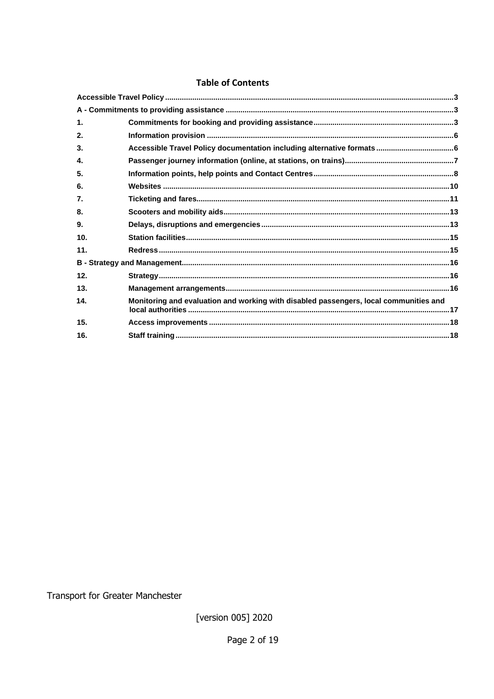### **Table of Contents**

| 1.  |                                                                                       |  |
|-----|---------------------------------------------------------------------------------------|--|
| 2.  |                                                                                       |  |
| 3.  |                                                                                       |  |
| 4.  |                                                                                       |  |
| 5.  |                                                                                       |  |
| 6.  |                                                                                       |  |
| 7.  |                                                                                       |  |
| 8.  |                                                                                       |  |
| 9.  |                                                                                       |  |
| 10. |                                                                                       |  |
| 11. |                                                                                       |  |
|     |                                                                                       |  |
| 12. |                                                                                       |  |
| 13. |                                                                                       |  |
| 14. | Monitoring and evaluation and working with disabled passengers, local communities and |  |
| 15. |                                                                                       |  |
| 16. |                                                                                       |  |
|     |                                                                                       |  |

Transport for Greater Manchester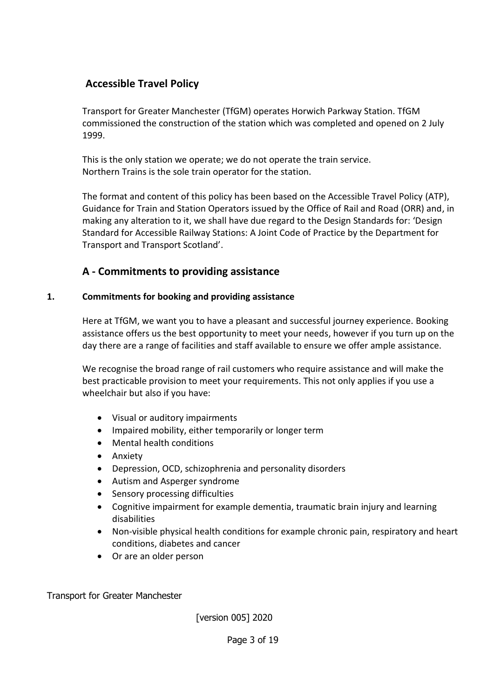# <span id="page-2-0"></span>**Accessible Travel Policy**

Transport for Greater Manchester (TfGM) operates Horwich Parkway Station. TfGM commissioned the construction of the station which was completed and opened on 2 July 1999.

This is the only station we operate; we do not operate the train service. Northern Trains is the sole train operator for the station.

The format and content of this policy has been based on the Accessible Travel Policy (ATP), Guidance for Train and Station Operators issued by the Office of Rail and Road (ORR) and, in making any alteration to it, we shall have due regard to the Design Standards for: 'Design Standard for Accessible Railway Stations: A Joint Code of Practice by the Department for Transport and Transport Scotland'.

# **A - Commitments to providing assistance**

# <span id="page-2-2"></span><span id="page-2-1"></span>**1. Commitments for booking and providing assistance**

Here at TfGM, we want you to have a pleasant and successful journey experience. Booking assistance offers us the best opportunity to meet your needs, however if you turn up on the day there are a range of facilities and staff available to ensure we offer ample assistance.

We recognise the broad range of rail customers who require assistance and will make the best practicable provision to meet your requirements. This not only applies if you use a wheelchair but also if you have:

- Visual or auditory impairments
- Impaired mobility, either temporarily or longer term
- Mental health conditions
- Anxiety
- Depression, OCD, schizophrenia and personality disorders
- Autism and Asperger syndrome
- Sensory processing difficulties
- Cognitive impairment for example dementia, traumatic brain injury and learning disabilities
- Non-visible physical health conditions for example chronic pain, respiratory and heart conditions, diabetes and cancer
- Or are an older person

Transport for Greater Manchester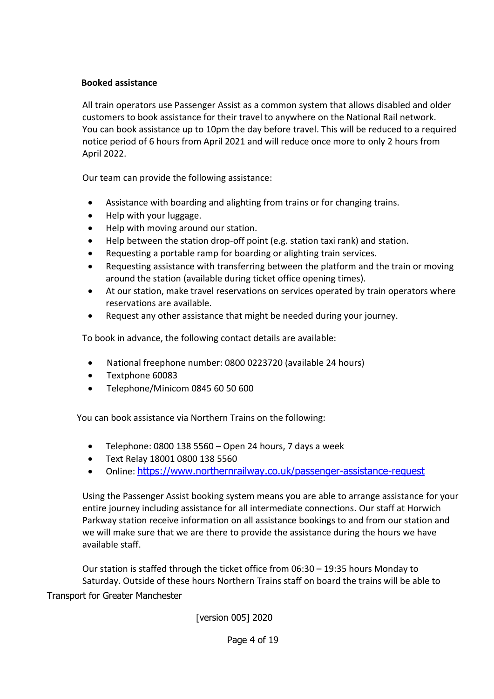# **Booked assistance**

All train operators use Passenger Assist as a common system that allows disabled and older customers to book assistance for their travel to anywhere on the National Rail network. You can book assistance up to 10pm the day before travel. This will be reduced to a required notice period of 6 hours from April 2021 and will reduce once more to only 2 hours from April 2022.

Our team can provide the following assistance:

- Assistance with boarding and alighting from trains or for changing trains.
- Help with your luggage.
- Help with moving around our station.
- Help between the station drop-off point (e.g. station taxi rank) and station.
- Requesting a portable ramp for boarding or alighting train services.
- Requesting assistance with transferring between the platform and the train or moving around the station (available during ticket office opening times).
- At our station, make travel reservations on services operated by train operators where reservations are available.
- Request any other assistance that might be needed during your journey.

To book in advance, the following contact details are available:

- National freephone number: 0800 0223720 (available 24 hours)
- Textphone 60083
- Telephone/Minicom 0845 60 50 600

You can book assistance via Northern Trains on the following:

- Telephone: 0800 138 5560 Open 24 hours, 7 days a week
- Text Relay 18001 0800 138 5560
- Online: <https://www.northernrailway.co.uk/passenger-assistance-request>

Using the Passenger Assist booking system means you are able to arrange assistance for your entire journey including assistance for all intermediate connections. Our staff at Horwich Parkway station receive information on all assistance bookings to and from our station and we will make sure that we are there to provide the assistance during the hours we have available staff.

Transport for Greater Manchester Our station is staffed through the ticket office from 06:30 – 19:35 hours Monday to Saturday. Outside of these hours Northern Trains staff on board the trains will be able to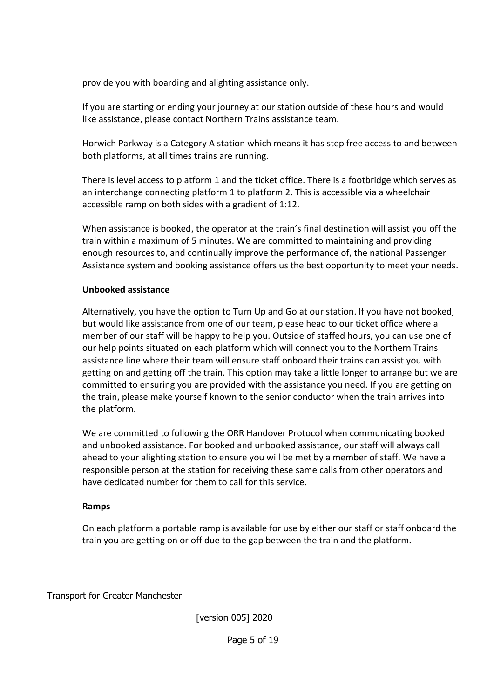provide you with boarding and alighting assistance only.

If you are starting or ending your journey at our station outside of these hours and would like assistance, please contact Northern Trains assistance team.

Horwich Parkway is a Category A station which means it has step free access to and between both platforms, at all times trains are running.

There is level access to platform 1 and the ticket office. There is a footbridge which serves as an interchange connecting platform 1 to platform 2. This is accessible via a wheelchair accessible ramp on both sides with a gradient of 1:12.

When assistance is booked, the operator at the train's final destination will assist you off the train within a maximum of 5 minutes. We are committed to maintaining and providing enough resources to, and continually improve the performance of, the national Passenger Assistance system and booking assistance offers us the best opportunity to meet your needs.

# **Unbooked assistance**

Alternatively, you have the option to Turn Up and Go at our station. If you have not booked, but would like assistance from one of our team, please head to our ticket office where a member of our staff will be happy to help you. Outside of staffed hours, you can use one of our help points situated on each platform which will connect you to the Northern Trains assistance line where their team will ensure staff onboard their trains can assist you with getting on and getting off the train. This option may take a little longer to arrange but we are committed to ensuring you are provided with the assistance you need. If you are getting on the train, please make yourself known to the senior conductor when the train arrives into the platform.

We are committed to following the ORR Handover Protocol when communicating booked and unbooked assistance. For booked and unbooked assistance, our staff will always call ahead to your alighting station to ensure you will be met by a member of staff. We have a responsible person at the station for receiving these same calls from other operators and have dedicated number for them to call for this service.

### **Ramps**

On each platform a portable ramp is available for use by either our staff or staff onboard the train you are getting on or off due to the gap between the train and the platform.

Transport for Greater Manchester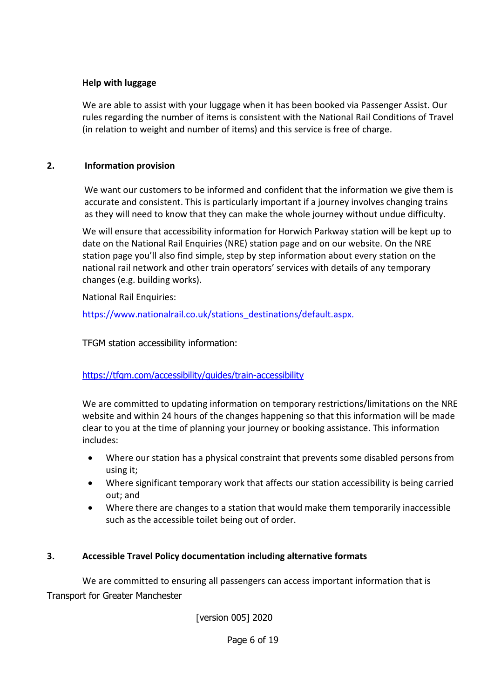# **Help with luggage**

We are able to assist with your luggage when it has been booked via Passenger Assist. Our rules regarding the number of items is consistent with the National Rail Conditions of Travel (in relation to weight and number of items) and this service is free of charge.

### **2. Information provision**

<span id="page-5-0"></span>We want our customers to be informed and confident that the information we give them is accurate and consistent. This is particularly important if a journey involves changing trains as they will need to know that they can make the whole journey without undue difficulty.

We will ensure that accessibility information for Horwich Parkway station will be kept up to date on the National Rail Enquiries (NRE) station page and on our website. On the NRE station page you'll also find simple, step by step information about every station on the national rail network and other train operators' services with details of any temporary changes (e.g. building works).

National Rail Enquiries:

https://www.nationalrail.co.uk/stations\_destinations/default.aspx*.*

TFGM station accessibility information:

<https://tfgm.com/accessibility/guides/train-accessibility>

We are committed to updating information on temporary restrictions/limitations on the NRE website and within 24 hours of the changes happening so that this information will be made clear to you at the time of planning your journey or booking assistance. This information includes:

- Where our station has a physical constraint that prevents some disabled persons from using it;
- Where significant temporary work that affects our station accessibility is being carried out; and
- Where there are changes to a station that would make them temporarily inaccessible such as the accessible toilet being out of order.

### <span id="page-5-1"></span>**3. Accessible Travel Policy documentation including alternative formats**

Transport for Greater Manchester We are committed to ensuring all passengers can access important information that is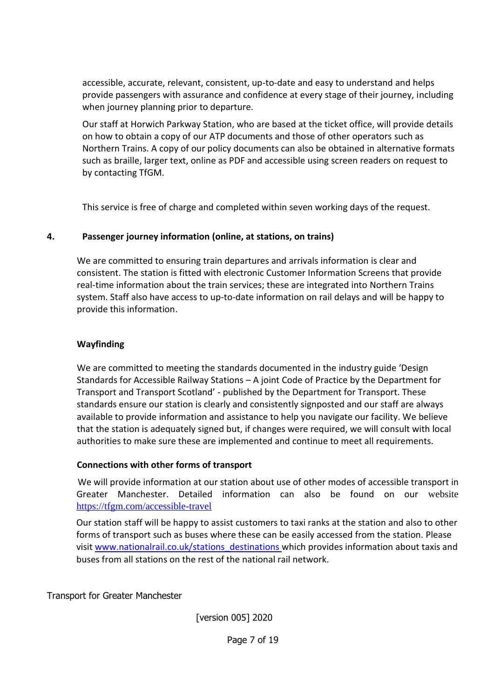accessible, accurate, relevant, consistent, up-to-date and easy to understand and helps provide passengers with assurance and confidence at every stage of their journey, including when journey planning prior to departure.

Our staff at Horwich Parkway Station, who are based at the ticket office, will provide details on how to obtain a copy of our ATP documents and those of other operators such as Northern Trains. A copy of our policy documents can also be obtained in alternative formats such as braille, larger text, online as PDF and accessible using screen readers on request to by contacting TfGM.

This service is free of charge and completed within seven working days of the request.

# <span id="page-6-0"></span>**4. Passenger journey information (online, at stations, on trains)**

We are committed to ensuring train departures and arrivals information is clear and consistent. The station is fitted with electronic Customer Information Screens that provide real-time information about the train services; these are integrated into Northern Trains system. Staff also have access to up-to-date information on rail delays and will be happy to provide this information.

# **Wayfinding**

We are committed to meeting the standards documented in the industry guide 'Design Standards for Accessible Railway Stations – A joint Code of Practice by the Department for Transport and Transport Scotland' - published by the Department for Transport. These standards ensure our station is clearly and consistently signposted and our staff are always available to provide information and assistance to help you navigate our facility. We believe that the station is adequately signed but, if changes were required, we will consult with local authorities to make sure these are implemented and continue to meet all requirements.

### **Connections with other forms of transport**

 We will provide information at our station about use of other modes of accessible transport in Greater Manchester. Detailed information can also be found on our website <https://tfgm.com/accessible-travel>

Our station staff will be happy to assist customers to taxi ranks at the station and also to other forms of transport such as buses where these can be easily accessed from the station. Please visit [www.nationalrail.co.uk/stations\\_destinations w](http://www.nationalrail.co.uk/stations_destinations)hich provides information about taxis and buses from all stations on the rest of the national rail network.

Transport for Greater Manchester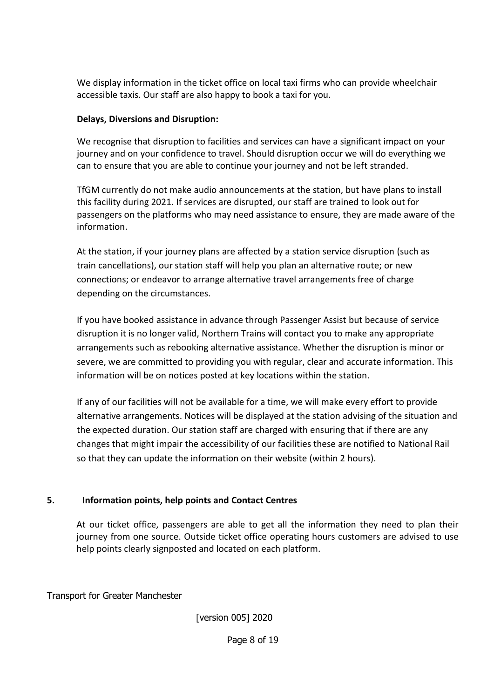We display information in the ticket office on local taxi firms who can provide wheelchair accessible taxis. Our staff are also happy to book a taxi for you.

# **Delays, Diversions and Disruption:**

We recognise that disruption to facilities and services can have a significant impact on your journey and on your confidence to travel. Should disruption occur we will do everything we can to ensure that you are able to continue your journey and not be left stranded.

TfGM currently do not make audio announcements at the station, but have plans to install this facility during 2021. If services are disrupted, our staff are trained to look out for passengers on the platforms who may need assistance to ensure, they are made aware of the information.

At the station, if your journey plans are affected by a station service disruption (such as train cancellations), our station staff will help you plan an alternative route; or new connections; or endeavor to arrange alternative travel arrangements free of charge depending on the circumstances.

If you have booked assistance in advance through Passenger Assist but because of service disruption it is no longer valid, Northern Trains will contact you to make any appropriate arrangements such as rebooking alternative assistance. Whether the disruption is minor or severe, we are committed to providing you with regular, clear and accurate information. This information will be on notices posted at key locations within the station.

If any of our facilities will not be available for a time, we will make every effort to provide alternative arrangements. Notices will be displayed at the station advising of the situation and the expected duration. Our station staff are charged with ensuring that if there are any changes that might impair the accessibility of our facilities these are notified to National Rail so that they can update the information on their website (within 2 hours).

# <span id="page-7-0"></span>**5. Information points, help points and Contact Centres**

At our ticket office, passengers are able to get all the information they need to plan their journey from one source. Outside ticket office operating hours customers are advised to use help points clearly signposted and located on each platform.

Transport for Greater Manchester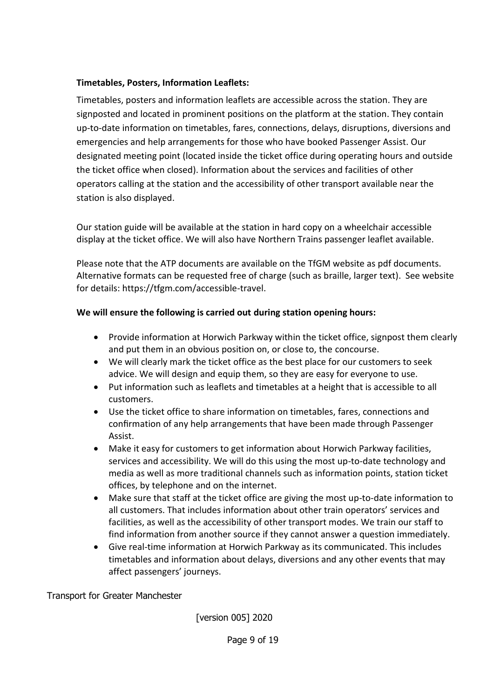# **Timetables, Posters, Information Leaflets:**

Timetables, posters and information leaflets are accessible across the station. They are signposted and located in prominent positions on the platform at the station. They contain up-to-date information on timetables, fares, connections, delays, disruptions, diversions and emergencies and help arrangements for those who have booked Passenger Assist. Our designated meeting point (located inside the ticket office during operating hours and outside the ticket office when closed). Information about the services and facilities of other operators calling at the station and the accessibility of other transport available near the station is also displayed.

Our station guide will be available at the station in hard copy on a wheelchair accessible display at the ticket office. We will also have Northern Trains passenger leaflet available.

Please note that the ATP documents are available on the TfGM website as pdf documents. Alternative formats can be requested free of charge (such as braille, larger text). See website for details: https://tfgm.com/accessible-travel.

# **We will ensure the following is carried out during station opening hours:**

- Provide information at Horwich Parkway within the ticket office, signpost them clearly and put them in an obvious position on, or close to, the concourse.
- We will clearly mark the ticket office as the best place for our customers to seek advice. We will design and equip them, so they are easy for everyone to use.
- Put information such as leaflets and timetables at a height that is accessible to all customers.
- Use the ticket office to share information on timetables, fares, connections and confirmation of any help arrangements that have been made through Passenger Assist.
- Make it easy for customers to get information about Horwich Parkway facilities, services and accessibility. We will do this using the most up-to-date technology and media as well as more traditional channels such as information points, station ticket offices, by telephone and on the internet.
- Make sure that staff at the ticket office are giving the most up-to-date information to all customers. That includes information about other train operators' services and facilities, as well as the accessibility of other transport modes. We train our staff to find information from another source if they cannot answer a question immediately.
- Give real-time information at Horwich Parkway as its communicated. This includes timetables and information about delays, diversions and any other events that may affect passengers' journeys.

Transport for Greater Manchester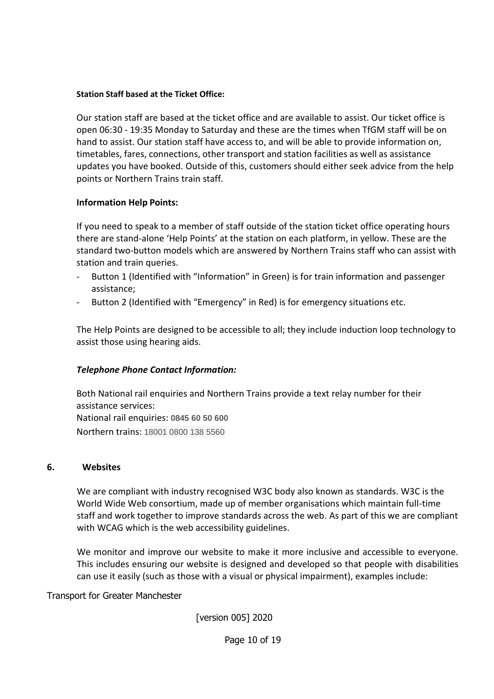#### **Station Staff based at the Ticket Office:**

Our station staff are based at the ticket office and are available to assist. Our ticket office is open 06:30 - 19:35 Monday to Saturday and these are the times when TfGM staff will be on hand to assist. Our station staff have access to, and will be able to provide information on, timetables, fares, connections, other transport and station facilities as well as assistance updates you have booked. Outside of this, customers should either seek advice from the help points or Northern Trains train staff*.* 

### **Information Help Points:**

If you need to speak to a member of staff outside of the station ticket office operating hours there are stand-alone 'Help Points' at the station on each platform, in yellow. These are the standard two-button models which are answered by Northern Trains staff who can assist with station and train queries.

- Button 1 (Identified with "Information" in Green) is for train information and passenger assistance;
- Button 2 (Identified with "Emergency" in Red) is for emergency situations etc.

The Help Points are designed to be accessible to all; they include induction loop technology to assist those using hearing aids.

### *Telephone Phone Contact Information:*

Both National rail enquiries and Northern Trains provide a text relay number for their assistance services: National rail enquiries: **0845 60 50 600** Northern trains: 18001 0800 138 5560

### <span id="page-9-0"></span>**6. Websites**

We are compliant with industry recognised W3C body also known as standards. W3C is the World Wide Web consortium, made up of member organisations which maintain full-time staff and work together to improve standards across the web. As part of this we are compliant with WCAG which is the web accessibility guidelines.

We monitor and improve our website to make it more inclusive and accessible to everyone. This includes ensuring our website is designed and developed so that people with disabilities can use it easily (such as those with a visual or physical impairment), examples include:

Transport for Greater Manchester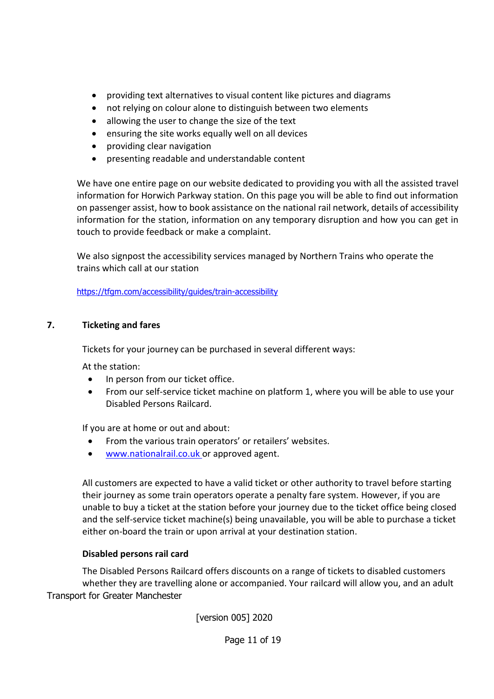- providing text alternatives to visual content like pictures and diagrams
- not relying on colour alone to distinguish between two elements
- allowing the user to change the size of the text
- ensuring the site works equally well on all devices
- providing clear navigation
- presenting readable and understandable content

We have one entire page on our website dedicated to providing you with all the assisted travel information for Horwich Parkway station. On this page you will be able to find out information on passenger assist, how to book assistance on the national rail network, details of accessibility information for the station, information on any temporary disruption and how you can get in touch to provide feedback or make a complaint.

We also signpost the accessibility services managed by Northern Trains who operate the trains which call at our station

<https://tfgm.com/accessibility/guides/train-accessibility>

# <span id="page-10-0"></span>**7. Ticketing and fares**

Tickets for your journey can be purchased in several different ways:

At the station:

- In person from our ticket office.
- From our self-service ticket machine on platform 1, where you will be able to use your Disabled Persons Railcard.

If you are at home or out and about:

- From the various train operators' or retailers' websites.
- www.nationalrail.co.uk or approved agent.

All customers are expected to have a valid ticket or other authority to travel before starting their journey as some train operators operate a penalty fare system. However, if you are unable to buy a ticket at the station before your journey due to the ticket office being closed and the self-service ticket machine(s) being unavailable, you will be able to purchase a ticket either on-board the train or upon arrival at your destination station.

# **Disabled persons rail card**

Transport for Greater Manchester The Disabled Persons Railcard offers discounts on a range of tickets to disabled customers whether they are travelling alone or accompanied. Your railcard will allow you, and an adult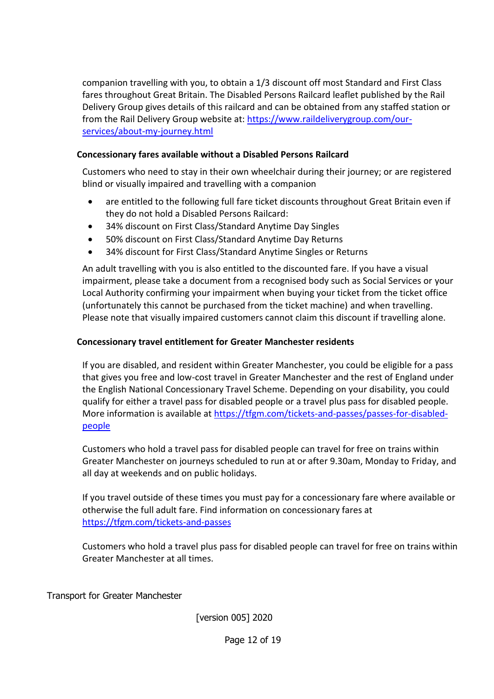companion travelling with you, to obtain a 1/3 discount off most Standard and First Class fares throughout Great Britain. The Disabled Persons Railcard leaflet published by the Rail Delivery Group gives details of this railcard and can be obtained from any staffed station or from the Rail Delivery Group website at: [https://www.raildeliverygroup.com/our](https://www.raildeliverygroup.com/our-services/about-my-journey.html)[services/about-my-journey.html](https://www.raildeliverygroup.com/our-services/about-my-journey.html)

# **Concessionary fares available without a Disabled Persons Railcard**

Customers who need to stay in their own wheelchair during their journey; or are registered blind or visually impaired and travelling with a companion

- are entitled to the following full fare ticket discounts throughout Great Britain even if they do not hold a Disabled Persons Railcard:
- 34% discount on First Class/Standard Anytime Day Singles
- 50% discount on First Class/Standard Anytime Day Returns
- 34% discount for First Class/Standard Anytime Singles or Returns

An adult travelling with you is also entitled to the discounted fare. If you have a visual impairment, please take a document from a recognised body such as Social Services or your Local Authority confirming your impairment when buying your ticket from the ticket office (unfortunately this cannot be purchased from the ticket machine) and when travelling. Please note that visually impaired customers cannot claim this discount if travelling alone.

# **Concessionary travel entitlement for Greater Manchester residents**

If you are disabled, and resident within Greater Manchester, you could be eligible for a pass that gives you free and low-cost travel in Greater Manchester and the rest of England under the English National Concessionary Travel Scheme. Depending on your disability, you could qualify for either a travel pass for disabled people or a travel plus pass for disabled people. More information is available at [https://tfgm.com/tickets-and-passes/passes-for-disabled](https://tfgm.com/tickets-and-passes/passes-for-disabled-people)[people](https://tfgm.com/tickets-and-passes/passes-for-disabled-people)

Customers who hold a travel pass for disabled people can travel for free on trains within Greater Manchester on journeys scheduled to run at or after 9.30am, Monday to Friday, and all day at weekends and on public holidays.

If you travel outside of these times you must pay for a concessionary fare where available or otherwise the full adult fare. Find information on concessionary fares at https://tfgm.com/tickets-and-passes

Customers who hold a travel plus pass for disabled people can travel for free on trains within Greater Manchester at all times.

Transport for Greater Manchester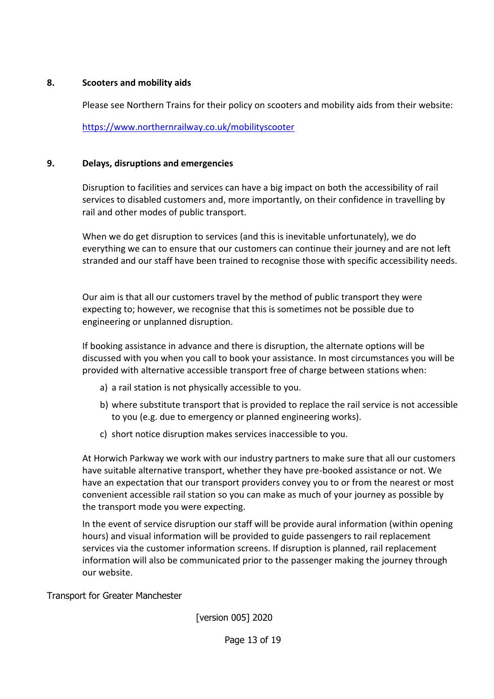### <span id="page-12-0"></span>**8. Scooters and mobility aids**

Please see Northern Trains for their policy on scooters and mobility aids from their website:

<https://www.northernrailway.co.uk/mobilityscooter>

### <span id="page-12-1"></span>**9. Delays, disruptions and emergencies**

Disruption to facilities and services can have a big impact on both the accessibility of rail services to disabled customers and, more importantly, on their confidence in travelling by rail and other modes of public transport.

When we do get disruption to services (and this is inevitable unfortunately), we do everything we can to ensure that our customers can continue their journey and are not left stranded and our staff have been trained to recognise those with specific accessibility needs.

Our aim is that all our customers travel by the method of public transport they were expecting to; however, we recognise that this is sometimes not be possible due to engineering or unplanned disruption.

If booking assistance in advance and there is disruption, the alternate options will be discussed with you when you call to book your assistance. In most circumstances you will be provided with alternative accessible transport free of charge between stations when:

- a) a rail station is not physically accessible to you.
- b) where substitute transport that is provided to replace the rail service is not accessible to you (e.g. due to emergency or planned engineering works).
- c) short notice disruption makes services inaccessible to you.

At Horwich Parkway we work with our industry partners to make sure that all our customers have suitable alternative transport, whether they have pre-booked assistance or not. We have an expectation that our transport providers convey you to or from the nearest or most convenient accessible rail station so you can make as much of your journey as possible by the transport mode you were expecting.

In the event of service disruption our staff will be provide aural information (within opening hours) and visual information will be provided to guide passengers to rail replacement services via the customer information screens. If disruption is planned, rail replacement information will also be communicated prior to the passenger making the journey through our website.

Transport for Greater Manchester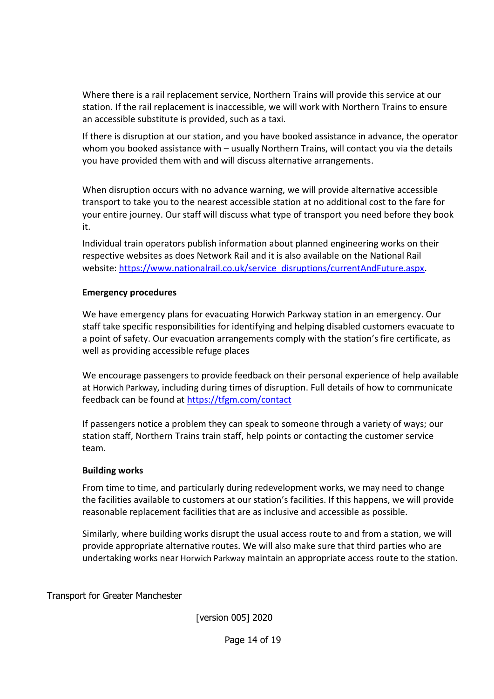Where there is a rail replacement service, Northern Trains will provide this service at our station. If the rail replacement is inaccessible, we will work with Northern Trains to ensure an accessible substitute is provided, such as a taxi.

If there is disruption at our station, and you have booked assistance in advance, the operator whom you booked assistance with – usually Northern Trains, will contact you via the details you have provided them with and will discuss alternative arrangements.

When disruption occurs with no advance warning, we will provide alternative accessible transport to take you to the nearest accessible station at no additional cost to the fare for your entire journey. Our staff will discuss what type of transport you need before they book it.

Individual train operators publish information about planned engineering works on their respective websites as does Network Rail and it is also available on the National Rail website: [https://www.nationalrail.co.uk/service\\_disruptions/currentAndFuture.aspx.](https://www.nationalrail.co.uk/service_disruptions/currentAndFuture.aspx)

### **Emergency procedures**

We have emergency plans for evacuating Horwich Parkway station in an emergency. Our staff take specific responsibilities for identifying and helping disabled customers evacuate to a point of safety. Our evacuation arrangements comply with the station's fire certificate, as well as providing accessible refuge places

We encourage passengers to provide feedback on their personal experience of help available at Horwich Parkway, including during times of disruption. Full details of how to communicate feedback can be found at<https://tfgm.com/contact>

If passengers notice a problem they can speak to someone through a variety of ways; our station staff, Northern Trains train staff, help points or contacting the customer service team.

#### **Building works**

From time to time, and particularly during redevelopment works, we may need to change the facilities available to customers at our station's facilities. If this happens, we will provide reasonable replacement facilities that are as inclusive and accessible as possible.

Similarly, where building works disrupt the usual access route to and from a station, we will provide appropriate alternative routes. We will also make sure that third parties who are undertaking works near Horwich Parkway maintain an appropriate access route to the station.

Transport for Greater Manchester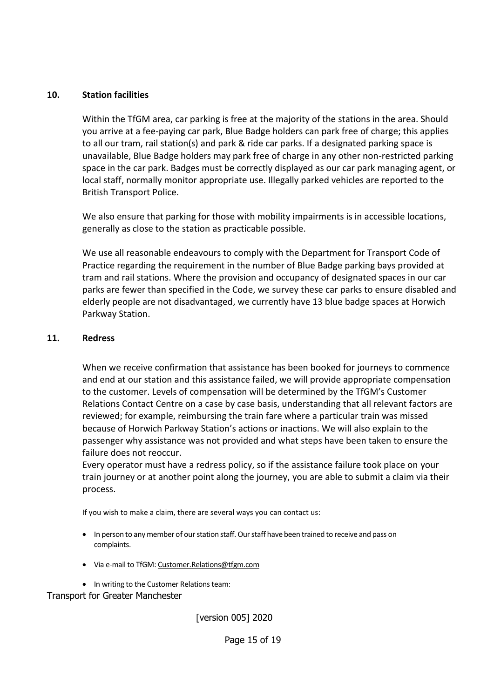### <span id="page-14-0"></span>**10. Station facilities**

Within the TfGM area, car parking is free at the majority of the stations in the area. Should you arrive at a fee-paying car park, Blue Badge holders can park free of charge; this applies to all our tram, rail station(s) and park & ride car parks. If a designated parking space is unavailable, Blue Badge holders may park free of charge in any other non-restricted parking space in the car park. Badges must be correctly displayed as our car park managing agent, or local staff, normally monitor appropriate use. Illegally parked vehicles are reported to the British Transport Police.

We also ensure that parking for those with mobility impairments is in accessible locations, generally as close to the station as practicable possible.

We use all reasonable endeavours to comply with the Department for Transport Code of Practice regarding the requirement in the number of Blue Badge parking bays provided at tram and rail stations. Where the provision and occupancy of designated spaces in our car parks are fewer than specified in the Code, we survey these car parks to ensure disabled and elderly people are not disadvantaged, we currently have 13 blue badge spaces at Horwich Parkway Station.

#### <span id="page-14-1"></span>**11. Redress**

When we receive confirmation that assistance has been booked for journeys to commence and end at our station and this assistance failed, we will provide appropriate compensation to the customer. Levels of compensation will be determined by the TfGM's Customer Relations Contact Centre on a case by case basis, understanding that all relevant factors are reviewed; for example, reimbursing the train fare where a particular train was missed because of Horwich Parkway Station's actions or inactions. We will also explain to the passenger why assistance was not provided and what steps have been taken to ensure the failure does not reoccur.

Every operator must have a redress policy, so if the assistance failure took place on your train journey or at another point along the journey, you are able to submit a claim via their process.

If you wish to make a claim, there are several ways you can contact us:

- In person to any member of our station staff. Our staff have been trained to receive and pass on complaints.
- Via e-mail to TfGM: Customer.Relations@tfgm.com
- In writing to the Customer Relations team:

Transport for Greater Manchester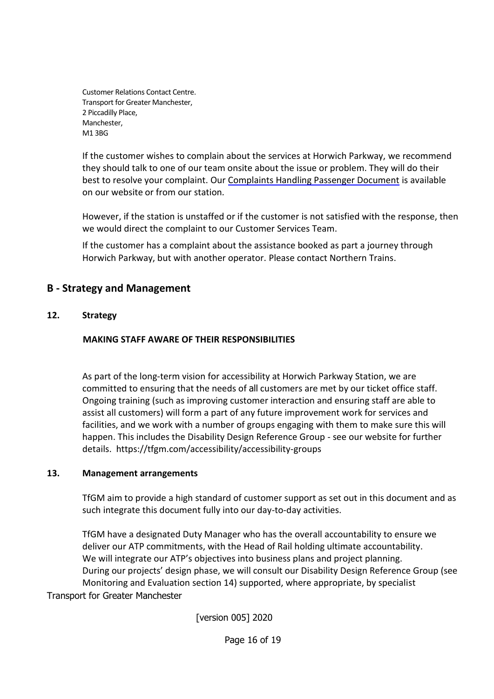Customer Relations Contact Centre. Transport for Greater Manchester, 2 Piccadilly Place, Manchester, M1 3BG

If the customer wishes to complain about the services at Horwich Parkway, we recommend they should talk to one of our team onsite about the issue or problem. They will do their best to resolve your complaint. Our Complaints Handling Passenger Document is available on our website or from our station*.*

However, if the station is unstaffed or if the customer is not satisfied with the response, then we would direct the complaint to our Customer Services Team.

If the customer has a complaint about the assistance booked as part a journey through Horwich Parkway, but with another operator. Please contact Northern Trains.

# <span id="page-15-0"></span>**B - Strategy and Management**

### <span id="page-15-1"></span>**12. Strategy**

### **MAKING STAFF AWARE OF THEIR RESPONSIBILITIES**

As part of the long-term vision for accessibility at Horwich Parkway Station, we are committed to ensuring that the needs of all customers are met by our ticket office staff. Ongoing training (such as improving customer interaction and ensuring staff are able to assist all customers) will form a part of any future improvement work for services and facilities, and we work with a number of groups engaging with them to make sure this will happen. This includes the Disability Design Reference Group - see our website for further details. https://tfgm.com/accessibility/accessibility-groups

#### <span id="page-15-2"></span>**13. Management arrangements**

TfGM aim to provide a high standard of customer support as set out in this document and as such integrate this document fully into our day-to-day activities.

Transport for Greater Manchester TfGM have a designated Duty Manager who has the overall accountability to ensure we deliver our ATP commitments, with the Head of Rail holding ultimate accountability. We will integrate our ATP's objectives into business plans and project planning. During our projects' design phase, we will consult our Disability Design Reference Group (see Monitoring and Evaluation section 14) supported, where appropriate, by specialist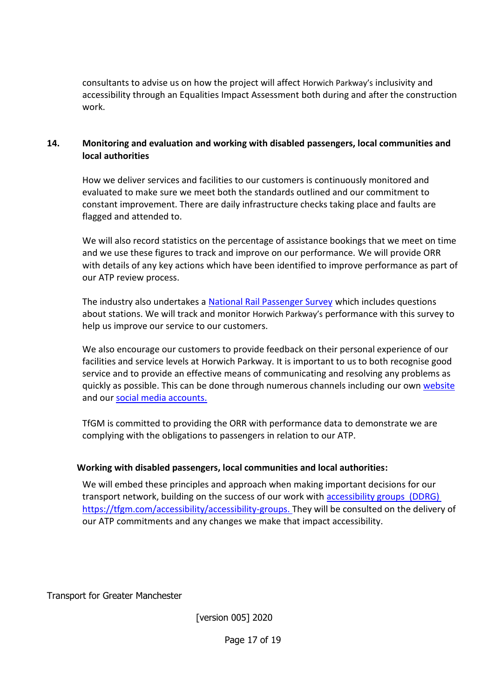consultants to advise us on how the project will affect Horwich Parkway's inclusivity and accessibility through an Equalities Impact Assessment both during and after the construction work.

### <span id="page-16-0"></span>**14. Monitoring and evaluation and working with disabled passengers, local communities and local authorities**

How we deliver services and facilities to our customers is continuously monitored and evaluated to make sure we meet both the standards outlined and our commitment to constant improvement. There are daily infrastructure checks taking place and faults are flagged and attended to.

We will also record statistics on the percentage of assistance bookings that we meet on time and we use these figures to track and improve on our performance. We will provide ORR with details of any key actions which have been identified to improve performance as part of our ATP review process.

The industry also undertakes a [National Rail Passenger Survey](https://www.transportfocus.org.uk/research-publications/research/national-passenger-survey-introduction/) which includes questions about stations. We will track and monitor Horwich Parkway's performance with this survey to help us improve our service to our customers.

We also encourage our customers to provide feedback on their personal experience of our facilities and service levels at Horwich Parkway. It is important to us to both recognise good service and to provide an effective means of communicating and resolving any problems as quickly as possible. This can be done through numerous channels including [our own website](http://www.tfgm.com/Pages/default.aspx) and our [social media accounts.](https://twitter.com/OfficialTfGM?ref_src=twsrc%5Etfw)

TfGM is committed to providing the ORR with performance data to demonstrate we are complying with the obligations to passengers in relation to our ATP.

### **Working with disabled passengers, local communities and local authorities:**

We will embed these principles and approach when making important decisions for our transport network, building on the success of our work with [accessibility groups](https://tfgm.com/accessibility/accessibility-groups) (DDRG) https://tfgm.com/accessibility/accessibility-groups. They will be consulted on the delivery of our ATP commitments and any changes we make that impact accessibility.

Transport for Greater Manchester

[version 005] 2020

Page 17 of 19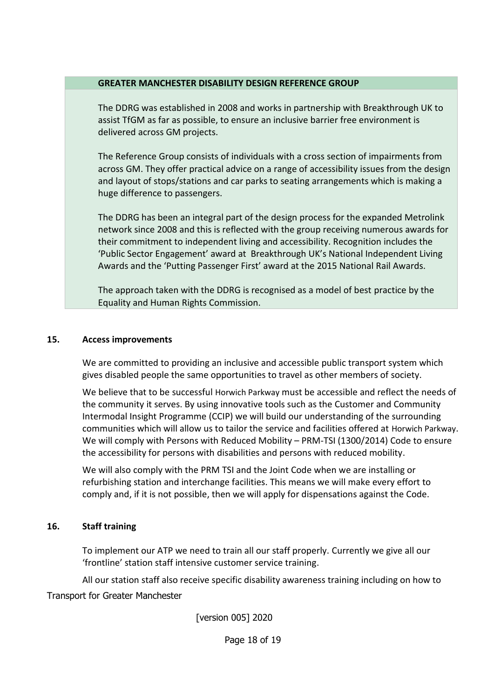#### **GREATER MANCHESTER DISABILITY DESIGN REFERENCE GROUP**

The DDRG was established in 2008 and works in partnership with Breakthrough UK to assist TfGM as far as possible, to ensure an inclusive barrier free environment is delivered across GM projects.

The Reference Group consists of individuals with a cross section of impairments from across GM. They offer practical advice on a range of accessibility issues from the design and layout of stops/stations and car parks to seating arrangements which is making a huge difference to passengers.

The DDRG has been an integral part of the design process for the expanded Metrolink network since 2008 and this is reflected with the group receiving numerous awards for their commitment to independent living and accessibility. Recognition includes the 'Public Sector Engagement' award at Breakthrough UK's National Independent Living Awards and the 'Putting Passenger First' award at the 2015 National Rail Awards.

The approach taken with the DDRG is recognised as a model of best practice by the Equality and Human Rights Commission.

### <span id="page-17-0"></span>**15. Access improvements**

We are committed to providing an inclusive and accessible public transport system which gives disabled people the same opportunities to travel as other members of society.

We believe that to be successful Horwich Parkway must be accessible and reflect the needs of the community it serves. By using innovative tools such as the Customer and Community Intermodal Insight Programme (CCIP) we will build our understanding of the surrounding communities which will allow us to tailor the service and facilities offered at Horwich Parkway. We will comply with Persons with Reduced Mobility – PRM-TSI (1300/2014) Code to ensure the accessibility for persons with disabilities and persons with reduced mobility.

We will also comply with the PRM TSI and the Joint Code when we are installing or refurbishing station and interchange facilities. This means we will make every effort to comply and, if it is not possible, then we will apply for dispensations against the Code.

### <span id="page-17-1"></span>**16. Staff training**

To implement our ATP we need to train all our staff properly. Currently we give all our 'frontline' station staff intensive customer service training.

All our station staff also receive specific disability awareness training including on how to

Transport for Greater Manchester